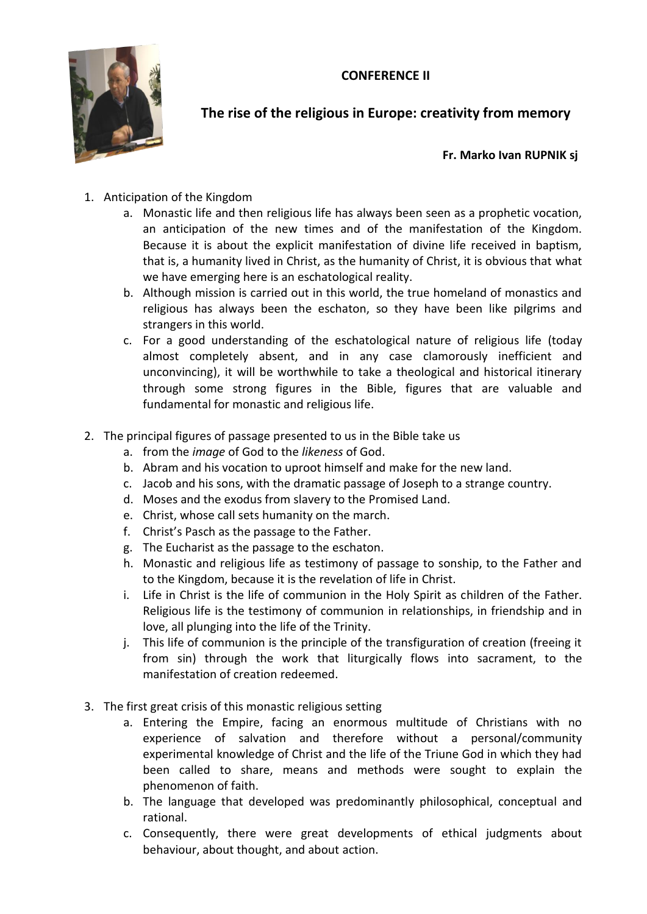**CONFERENCE II**



**The rise of the religious in Europe: creativity from memory** 

**Fr. Marko Ivan RUPNIK sj**

- 1. Anticipation of the Kingdom
	- a. Monastic life and then religious life has always been seen as a prophetic vocation, an anticipation of the new times and of the manifestation of the Kingdom. Because it is about the explicit manifestation of divine life received in baptism, that is, a humanity lived in Christ, as the humanity of Christ, it is obvious that what we have emerging here is an eschatological reality.
	- b. Although mission is carried out in this world, the true homeland of monastics and religious has always been the eschaton, so they have been like pilgrims and strangers in this world.
	- c. For a good understanding of the eschatological nature of religious life (today almost completely absent, and in any case clamorously inefficient and unconvincing), it will be worthwhile to take a theological and historical itinerary through some strong figures in the Bible, figures that are valuable and fundamental for monastic and religious life.
- 2. The principal figures of passage presented to us in the Bible take us
	- a. from the *image* of God to the *likeness* of God.
	- b. Abram and his vocation to uproot himself and make for the new land.
	- c. Jacob and his sons, with the dramatic passage of Joseph to a strange country.
	- d. Moses and the exodus from slavery to the Promised Land.
	- e. Christ, whose call sets humanity on the march.
	- f. Christ's Pasch as the passage to the Father.
	- g. The Eucharist as the passage to the eschaton.
	- h. Monastic and religious life as testimony of passage to sonship, to the Father and to the Kingdom, because it is the revelation of life in Christ.
	- i. Life in Christ is the life of communion in the Holy Spirit as children of the Father. Religious life is the testimony of communion in relationships, in friendship and in love, all plunging into the life of the Trinity.
	- j. This life of communion is the principle of the transfiguration of creation (freeing it from sin) through the work that liturgically flows into sacrament, to the manifestation of creation redeemed.
- 3. The first great crisis of this monastic religious setting
	- a. Entering the Empire, facing an enormous multitude of Christians with no experience of salvation and therefore without a personal/community experimental knowledge of Christ and the life of the Triune God in which they had been called to share, means and methods were sought to explain the phenomenon of faith.
	- b. The language that developed was predominantly philosophical, conceptual and rational.
	- c. Consequently, there were great developments of ethical judgments about behaviour, about thought, and about action.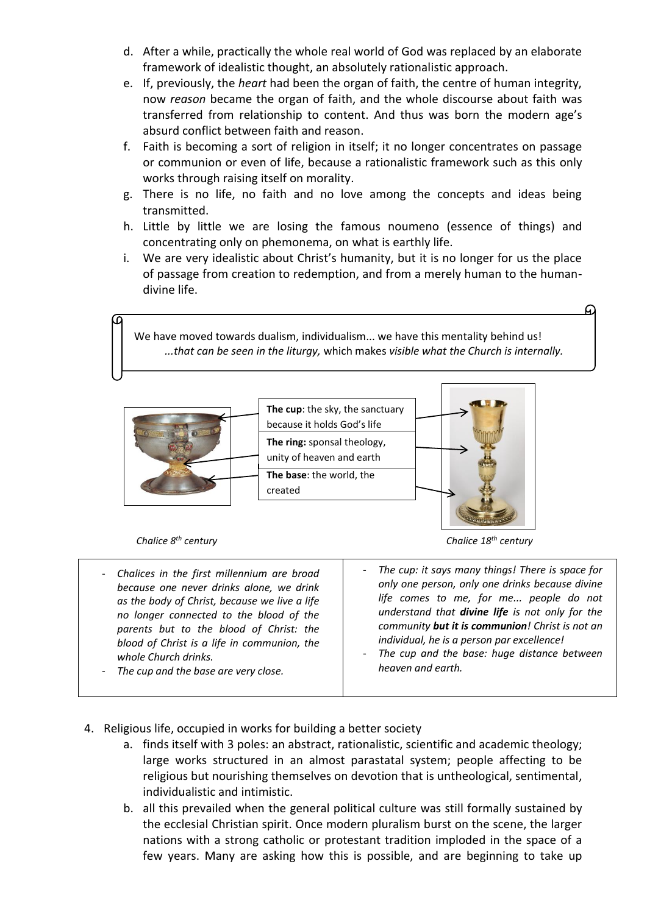- d. After a while, practically the whole real world of God was replaced by an elaborate framework of idealistic thought, an absolutely rationalistic approach.
- e. If, previously, the *heart* had been the organ of faith, the centre of human integrity, now *reason* became the organ of faith, and the whole discourse about faith was transferred from relationship to content. And thus was born the modern age's absurd conflict between faith and reason.
- f. Faith is becoming a sort of religion in itself; it no longer concentrates on passage or communion or even of life, because a rationalistic framework such as this only works through raising itself on morality.
- g. There is no life, no faith and no love among the concepts and ideas being transmitted.
- h. Little by little we are losing the famous noumeno (essence of things) and concentrating only on phemonema, on what is earthly life.
- i. We are very idealistic about Christ's humanity, but it is no longer for us the place of passage from creation to redemption, and from a merely human to the humandivine life.

We have moved towards dualism, individualism... we have this mentality behind us! *...that can be seen in the liturgy,* which makes *visible what the Church is internally.*



 *Chalice 8*

- *Chalices in the first millennium are broad because one never drinks alone, we drink as the body of Christ, because we live a life no longer connected to the blood of the parents but to the blood of Christ: the blood of Christ is a life in communion, the whole Church drinks.*

- *The cup and the base are very close.*

*th century Chalice 18th century*

The cup: it says many things! There is space for *only one person, only one drinks because divine life comes to me, for me... people do not understand that divine life is not only for the community but it is communion! Christ is not an individual, he is a person par excellence!*

- *The cup and the base: huge distance between heaven and earth.*
- 4. Religious life, occupied in works for building a better society
	- a. finds itself with 3 poles: an abstract, rationalistic, scientific and academic theology; large works structured in an almost parastatal system; people affecting to be religious but nourishing themselves on devotion that is untheological, sentimental, individualistic and intimistic.
	- b. all this prevailed when the general political culture was still formally sustained by the ecclesial Christian spirit. Once modern pluralism burst on the scene, the larger nations with a strong catholic or protestant tradition imploded in the space of a few years. Many are asking how this is possible, and are beginning to take up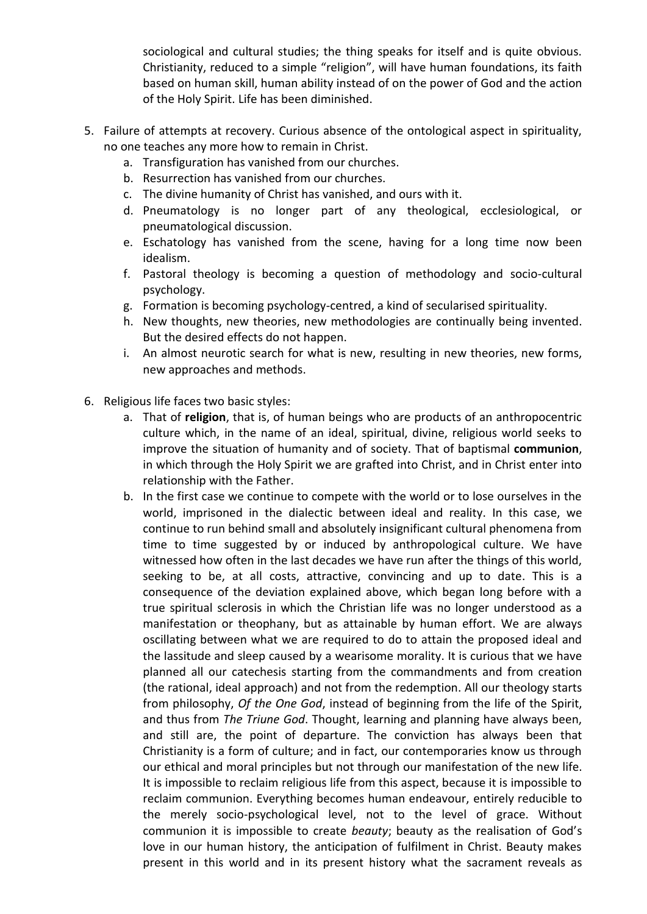sociological and cultural studies; the thing speaks for itself and is quite obvious. Christianity, reduced to a simple "religion", will have human foundations, its faith based on human skill, human ability instead of on the power of God and the action of the Holy Spirit. Life has been diminished.

- 5. Failure of attempts at recovery. Curious absence of the ontological aspect in spirituality, no one teaches any more how to remain in Christ.
	- a. Transfiguration has vanished from our churches.
	- b. Resurrection has vanished from our churches.
	- c. The divine humanity of Christ has vanished, and ours with it.
	- d. Pneumatology is no longer part of any theological, ecclesiological, or pneumatological discussion.
	- e. Eschatology has vanished from the scene, having for a long time now been idealism.
	- f. Pastoral theology is becoming a question of methodology and socio-cultural psychology.
	- g. Formation is becoming psychology-centred, a kind of secularised spirituality.
	- h. New thoughts, new theories, new methodologies are continually being invented. But the desired effects do not happen.
	- i. An almost neurotic search for what is new, resulting in new theories, new forms, new approaches and methods.
- 6. Religious life faces two basic styles:
	- a. That of **religion**, that is, of human beings who are products of an anthropocentric culture which, in the name of an ideal, spiritual, divine, religious world seeks to improve the situation of humanity and of society. That of baptismal **communion**, in which through the Holy Spirit we are grafted into Christ, and in Christ enter into relationship with the Father.
	- b. In the first case we continue to compete with the world or to lose ourselves in the world, imprisoned in the dialectic between ideal and reality. In this case, we continue to run behind small and absolutely insignificant cultural phenomena from time to time suggested by or induced by anthropological culture. We have witnessed how often in the last decades we have run after the things of this world, seeking to be, at all costs, attractive, convincing and up to date. This is a consequence of the deviation explained above, which began long before with a true spiritual sclerosis in which the Christian life was no longer understood as a manifestation or theophany, but as attainable by human effort. We are always oscillating between what we are required to do to attain the proposed ideal and the lassitude and sleep caused by a wearisome morality. It is curious that we have planned all our catechesis starting from the commandments and from creation (the rational, ideal approach) and not from the redemption. All our theology starts from philosophy, *Of the One God*, instead of beginning from the life of the Spirit, and thus from *The Triune God*. Thought, learning and planning have always been, and still are, the point of departure. The conviction has always been that Christianity is a form of culture; and in fact, our contemporaries know us through our ethical and moral principles but not through our manifestation of the new life. It is impossible to reclaim religious life from this aspect, because it is impossible to reclaim communion. Everything becomes human endeavour, entirely reducible to the merely socio-psychological level, not to the level of grace. Without communion it is impossible to create *beauty*; beauty as the realisation of God's love in our human history, the anticipation of fulfilment in Christ. Beauty makes present in this world and in its present history what the sacrament reveals as